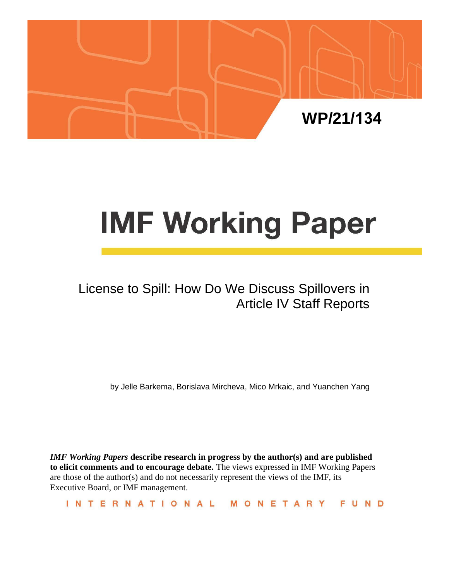

# **IMF Working Paper**

## License to Spill: How Do We Discuss Spillovers in Article IV Staff Reports

by Jelle Barkema, Borislava Mircheva, Mico Mrkaic, and Yuanchen Yang

*IMF Working Papers* **describe research in progress by the author(s) and are published to elicit comments and to encourage debate.** The views expressed in IMF Working Papers are those of the author(s) and do not necessarily represent the views of the IMF, its Executive Board, or IMF management.

INTERNATIONAL MONETARY FUND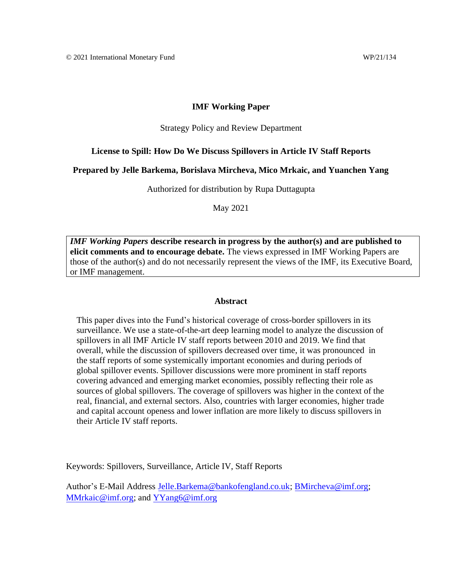#### **IMF Working Paper**

#### Strategy Policy and Review Department

#### **License to Spill: How Do We Discuss Spillovers in Article IV Staff Reports**

## **Prepared by Jelle Barkema, Borislava Mircheva, Mico Mrkaic, and Yuanchen Yang**

Authorized for distribution by Rupa Duttagupta

May 2021

*IMF Working Papers* **describe research in progress by the author(s) and are published to elicit comments and to encourage debate.** The views expressed in IMF Working Papers are those of the author(s) and do not necessarily represent the views of the IMF, its Executive Board, or IMF management.

#### **Abstract**

This paper dives into the Fund's historical coverage of cross-border spillovers in its surveillance. We use a state-of-the-art deep learning model to analyze the discussion of spillovers in all IMF Article IV staff reports between 2010 and 2019. We find that overall, while the discussion of spillovers decreased over time, it was pronounced in the staff reports of some systemically important economies and during periods of global spillover events. Spillover discussions were more prominent in staff reports covering advanced and emerging market economies, possibly reflecting their role as sources of global spillovers. The coverage of spillovers was higher in the context of the real, financial, and external sectors. Also, countries with larger economies, higher trade and capital account openess and lower inflation are more likely to discuss spillovers in their Article IV staff reports.

Keywords: Spillovers, Surveillance, Article IV, Staff Reports

Author's E-Mail Address [Jelle.Barkema@bankofengland.co.uk;](mailto:Jelle.Barkema@bankofengland.co.uk) [BMircheva@imf.org;](mailto:BMircheva@imf.org)  [MMrkaic@imf.org;](mailto:MMrkaic@imf.org) and [YYang6@imf.org](mailto:YYang6@imf.org)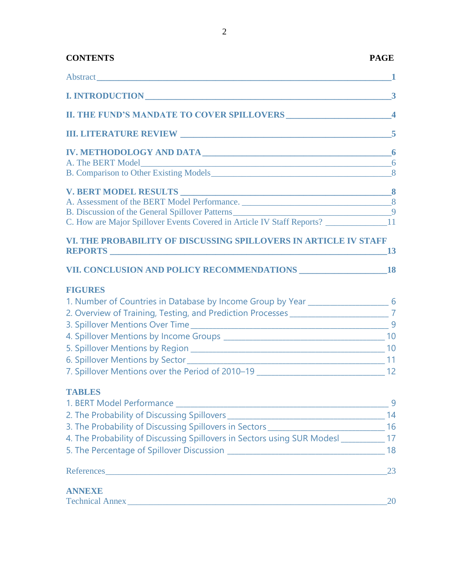| <b>CONTENTS</b>                                                                                                | <b>PAGE</b> |
|----------------------------------------------------------------------------------------------------------------|-------------|
| Abstract design and the second state of the second state of the second state of the second state of the second |             |
|                                                                                                                |             |
|                                                                                                                |             |
|                                                                                                                |             |
|                                                                                                                |             |
|                                                                                                                |             |
|                                                                                                                |             |
|                                                                                                                |             |
| B. Discussion of the General Spillover Patterns 1994 and 200 million of the General Spillover Patterns 1994    |             |
| C. How are Major Spillover Events Covered in Article IV Staff Reports? ____________________11                  |             |
| VI. THE PROBABILITY OF DISCUSSING SPILLOVERS IN ARTICLE IV STAFF<br>REPORTS 13                                 |             |
|                                                                                                                |             |
| <b>FIGURES</b>                                                                                                 |             |
| 1. Number of Countries in Database by Income Group by Year ______________________ 6                            |             |
| 2. Overview of Training, Testing, and Prediction Processes ______________________7                             |             |
|                                                                                                                |             |
|                                                                                                                |             |
|                                                                                                                |             |
|                                                                                                                |             |
| 7. Spillover Mentions over the Period of 2010-19 ________________________________ 12                           |             |
| <b>TABLES</b>                                                                                                  |             |
|                                                                                                                | 9           |
|                                                                                                                |             |
| 3. The Probability of Discussing Spillovers in Sectors __________________________ 16                           |             |
| 4. The Probability of Discussing Spillovers in Sectors using SUR Modesl __________ 17                          |             |
|                                                                                                                |             |
|                                                                                                                | 23          |
| ANNEXE                                                                                                         |             |
|                                                                                                                | 20          |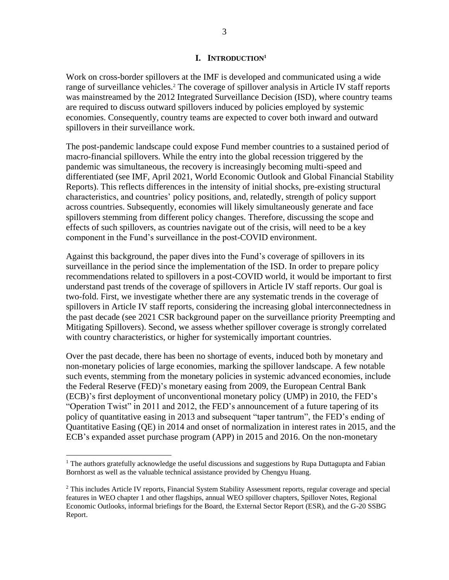## **I. INTRODUCTION<sup>1</sup>**

Work on cross-border spillovers at the IMF is developed and communicated using a wide range of surveillance vehicles.<sup>2</sup> The coverage of spillover analysis in Article IV staff reports was mainstreamed by the 2012 Integrated Surveillance Decision (ISD), where country teams are required to discuss outward spillovers induced by policies employed by systemic economies. Consequently, country teams are expected to cover both inward and outward spillovers in their surveillance work.

The post-pandemic landscape could expose Fund member countries to a sustained period of macro-financial spillovers. While the entry into the global recession triggered by the pandemic was simultaneous, the recovery is increasingly becoming multi-speed and differentiated (see IMF, April 2021, World Economic Outlook and Global Financial Stability Reports). This reflects differences in the intensity of initial shocks, pre-existing structural characteristics, and countries' policy positions, and, relatedly, strength of policy support across countries. Subsequently, economies will likely simultaneously generate and face spillovers stemming from different policy changes. Therefore, discussing the scope and effects of such spillovers, as countries navigate out of the crisis, will need to be a key component in the Fund's surveillance in the post-COVID environment.

Against this background, the paper dives into the Fund's coverage of spillovers in its surveillance in the period since the implementation of the ISD. In order to prepare policy recommendations related to spillovers in a post-COVID world, it would be important to first understand past trends of the coverage of spillovers in Article IV staff reports. Our goal is two-fold. First, we investigate whether there are any systematic trends in the coverage of spillovers in Article IV staff reports, considering the increasing global interconnectedness in the past decade (see 2021 CSR background paper on the surveillance priority Preempting and Mitigating Spillovers). Second, we assess whether spillover coverage is strongly correlated with country characteristics, or higher for systemically important countries.

Over the past decade, there has been no shortage of events, induced both by monetary and non-monetary policies of large economies, marking the spillover landscape. A few notable such events, stemming from the monetary policies in systemic advanced economies, include the Federal Reserve (FED)'s monetary easing from 2009, the European Central Bank (ECB)'s first deployment of unconventional monetary policy (UMP) in 2010, the FED's "Operation Twist" in 2011 and 2012, the FED's announcement of a future tapering of its policy of quantitative easing in 2013 and subsequent "taper tantrum", the FED's ending of Quantitative Easing (QE) in 2014 and onset of normalization in interest rates in 2015, and the ECB's expanded asset purchase program (APP) in 2015 and 2016. On the non-monetary

<sup>&</sup>lt;sup>1</sup> The authors gratefully acknowledge the useful discussions and suggestions by Rupa Duttagupta and Fabian Bornhorst as well as the valuable technical assistance provided by Chengyu Huang.

<sup>&</sup>lt;sup>2</sup> This includes Article IV reports, Financial System Stability Assessment reports, regular coverage and special features in WEO chapter 1 and other flagships, annual WEO spillover chapters, Spillover Notes, Regional Economic Outlooks, informal briefings for the Board, the External Sector Report (ESR), and the G-20 SSBG Report.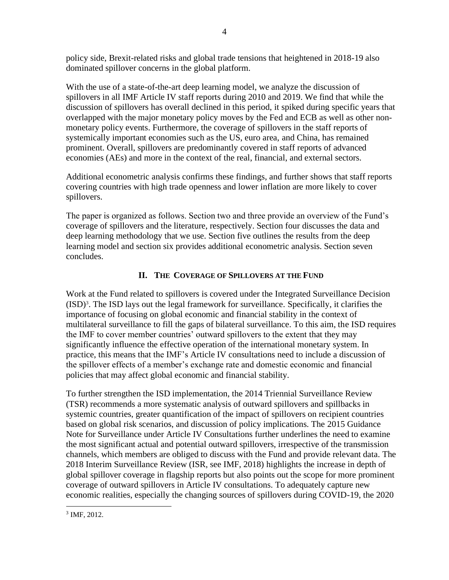policy side, Brexit-related risks and global trade tensions that heightened in 2018-19 also dominated spillover concerns in the global platform.

With the use of a state-of-the-art deep learning model, we analyze the discussion of spillovers in all IMF Article IV staff reports during 2010 and 2019. We find that while the discussion of spillovers has overall declined in this period, it spiked during specific years that overlapped with the major monetary policy moves by the Fed and ECB as well as other nonmonetary policy events. Furthermore, the coverage of spillovers in the staff reports of systemically important economies such as the US, euro area, and China, has remained prominent. Overall, spillovers are predominantly covered in staff reports of advanced economies (AEs) and more in the context of the real, financial, and external sectors.

Additional econometric analysis confirms these findings, and further shows that staff reports covering countries with high trade openness and lower inflation are more likely to cover spillovers.

The paper is organized as follows. Section two and three provide an overview of the Fund's coverage of spillovers and the literature, respectively. Section four discusses the data and deep learning methodology that we use. Section five outlines the results from the deep learning model and section six provides additional econometric analysis. Section seven concludes.

## **II. THE COVERAGE OF SPILLOVERS AT THE FUND**

Work at the Fund related to spillovers is covered under the Integrated Surveillance Decision (ISD)<sup>3</sup> . The ISD lays out the legal framework for surveillance. Specifically, it clarifies the importance of focusing on global economic and financial stability in the context of multilateral surveillance to fill the gaps of bilateral surveillance. To this aim, the ISD requires the IMF to cover member countries' outward spillovers to the extent that they may significantly influence the effective operation of the international monetary system. In practice, this means that the IMF's Article IV consultations need to include a discussion of the spillover effects of a member's exchange rate and domestic economic and financial policies that may affect global economic and financial stability.

To further strengthen the ISD implementation, the 2014 Triennial Surveillance Review (TSR) recommends a more systematic analysis of outward spillovers and spillbacks in systemic countries, greater quantification of the impact of spillovers on recipient countries based on global risk scenarios, and discussion of policy implications. The 2015 Guidance Note for Surveillance under Article IV Consultations further underlines the need to examine the most significant actual and potential outward spillovers, irrespective of the transmission channels, which members are obliged to discuss with the Fund and provide relevant data. The 2018 Interim Surveillance Review (ISR, see IMF, 2018) highlights the increase in depth of global spillover coverage in flagship reports but also points out the scope for more prominent coverage of outward spillovers in Article IV consultations. To adequately capture new economic realities, especially the changing sources of spillovers during COVID-19, the 2020

<sup>3</sup> IMF, 2012.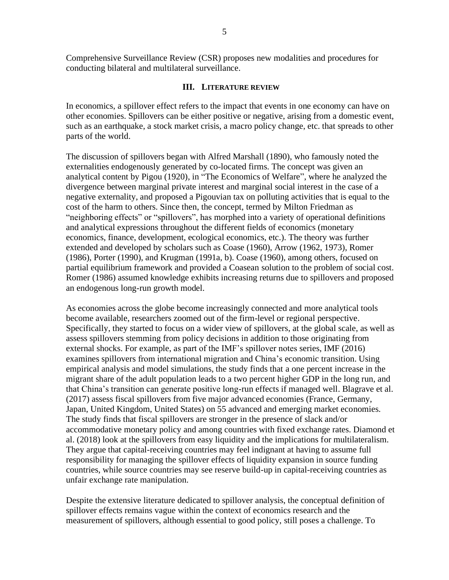conducting bilateral and multilateral surveillance.

## **III. LITERATURE REVIEW**

In economics, a spillover effect refers to the impact that events in one economy can have on other economies. Spillovers can be either positive or negative, arising from a domestic event, such as an earthquake, a stock market crisis, a macro policy change, etc. that spreads to other parts of the world.

The discussion of spillovers began with Alfred Marshall (1890), who famously noted the externalities endogenously generated by co-located firms. The concept was given an analytical content by Pigou (1920), in "The Economics of Welfare", where he analyzed the divergence between marginal private interest and marginal social interest in the case of a negative externality, and proposed a Pigouvian tax on polluting activities that is equal to the cost of the harm to others. Since then, the concept, termed by Milton Friedman as "neighboring effects" or "spillovers", has morphed into a variety of operational definitions and analytical expressions throughout the different fields of economics (monetary economics, finance, development, ecological economics, etc.). The theory was further extended and developed by scholars such as Coase (1960), Arrow (1962, 1973), Romer (1986), Porter (1990), and Krugman (1991a, b). Coase (1960), among others, focused on partial equilibrium framework and provided a Coasean solution to the problem of social cost. Romer (1986) assumed knowledge exhibits increasing returns due to spillovers and proposed an endogenous long-run growth model.

As economies across the globe become increasingly connected and more analytical tools become available, researchers zoomed out of the firm-level or regional perspective. Specifically, they started to focus on a wider view of spillovers, at the global scale, as well as assess spillovers stemming from policy decisions in addition to those originating from external shocks. For example, as part of the IMF's spillover notes series, IMF (2016) examines spillovers from international migration and China's economic transition. Using empirical analysis and model simulations, the study finds that a one percent increase in the migrant share of the adult population leads to a two percent higher GDP in the long run, and that China's transition can generate positive long-run effects if managed well. Blagrave et al. (2017) assess fiscal spillovers from five major advanced economies (France, Germany, Japan, United Kingdom, United States) on 55 advanced and emerging market economies. The study finds that fiscal spillovers are stronger in the presence of slack and/or accommodative monetary policy and among countries with fixed exchange rates. Diamond et al. (2018) look at the spillovers from easy liquidity and the implications for multilateralism. They argue that capital-receiving countries may feel indignant at having to assume full responsibility for managing the spillover effects of liquidity expansion in source funding countries, while source countries may see reserve build-up in capital-receiving countries as unfair exchange rate manipulation.

Despite the extensive literature dedicated to spillover analysis, the conceptual definition of spillover effects remains vague within the context of economics research and the measurement of spillovers, although essential to good policy, still poses a challenge. To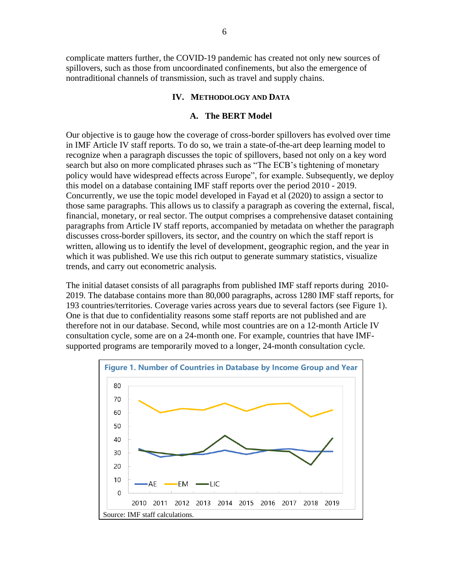complicate matters further, the COVID-19 pandemic has created not only new sources of spillovers, such as those from uncoordinated confinements, but also the emergence of nontraditional channels of transmission, such as travel and supply chains.

## **IV. METHODOLOGY AND DATA**

## **A. The BERT Model**

Our objective is to gauge how the coverage of cross-border spillovers has evolved over time in IMF Article IV staff reports. To do so, we train a state-of-the-art deep learning model to recognize when a paragraph discusses the topic of spillovers, based not only on a key word search but also on more complicated phrases such as "The ECB's tightening of monetary policy would have widespread effects across Europe", for example. Subsequently, we deploy this model on a database containing IMF staff reports over the period 2010 - 2019. Concurrently, we use the topic model developed in Fayad et al (2020) to assign a sector to those same paragraphs. This allows us to classify a paragraph as covering the external, fiscal, financial, monetary, or real sector. The output comprises a comprehensive dataset containing paragraphs from Article IV staff reports, accompanied by metadata on whether the paragraph discusses cross-border spillovers, its sector, and the country on which the staff report is written, allowing us to identify the level of development, geographic region, and the year in which it was published. We use this rich output to generate summary statistics, visualize trends, and carry out econometric analysis.

The initial dataset consists of all paragraphs from published IMF staff reports during 2010- 2019. The database contains more than 80,000 paragraphs, across 1280 IMF staff reports, for 193 countries/territories. Coverage varies across years due to several factors (see Figure 1). One is that due to confidentiality reasons some staff reports are not published and are therefore not in our database. Second, while most countries are on a 12-month Article IV consultation cycle, some are on a 24-month one. For example, countries that have IMFsupported programs are temporarily moved to a longer, 24-month consultation cycle.

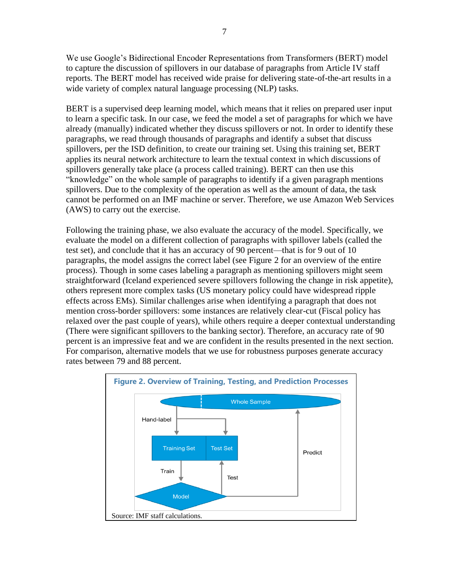We use Google's Bidirectional Encoder Representations from Transformers (BERT) model to capture the discussion of spillovers in our database of paragraphs from Article IV staff reports. The BERT model has received wide praise for delivering state-of-the-art results in a wide variety of complex natural language processing (NLP) tasks.

BERT is a supervised deep learning model, which means that it relies on prepared user input to learn a specific task. In our case, we feed the model a set of paragraphs for which we have already (manually) indicated whether they discuss spillovers or not. In order to identify these paragraphs, we read through thousands of paragraphs and identify a subset that discuss spillovers, per the ISD definition, to create our training set. Using this training set, BERT applies its neural network architecture to learn the textual context in which discussions of spillovers generally take place (a process called training). BERT can then use this "knowledge" on the whole sample of paragraphs to identify if a given paragraph mentions spillovers. Due to the complexity of the operation as well as the amount of data, the task cannot be performed on an IMF machine or server. Therefore, we use Amazon Web Services (AWS) to carry out the exercise.

Following the training phase, we also evaluate the accuracy of the model. Specifically, we evaluate the model on a different collection of paragraphs with spillover labels (called the test set), and conclude that it has an accuracy of 90 percent—that is for 9 out of 10 paragraphs, the model assigns the correct label (see Figure 2 for an overview of the entire process). Though in some cases labeling a paragraph as mentioning spillovers might seem straightforward (Iceland experienced severe spillovers following the change in risk appetite), others represent more complex tasks (US monetary policy could have widespread ripple effects across EMs). Similar challenges arise when identifying a paragraph that does not mention cross-border spillovers: some instances are relatively clear-cut (Fiscal policy has relaxed over the past couple of years), while others require a deeper contextual understanding (There were significant spillovers to the banking sector). Therefore, an accuracy rate of 90 percent is an impressive feat and we are confident in the results presented in the next section. For comparison, alternative models that we use for robustness purposes generate accuracy rates between 79 and 88 percent.

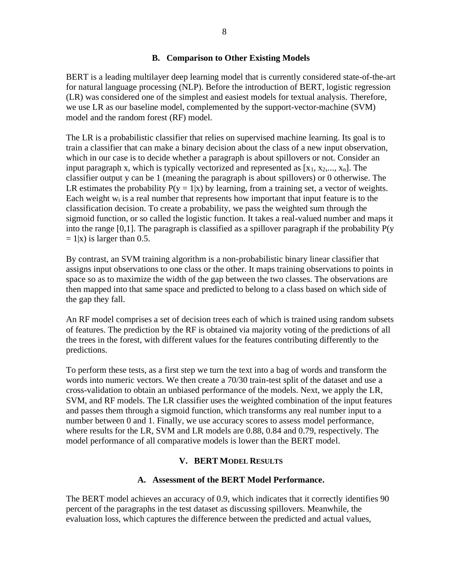BERT is a leading multilayer deep learning model that is currently considered state-of-the-art for natural language processing (NLP). Before the introduction of BERT, logistic regression (LR) was considered one of the simplest and easiest models for textual analysis. Therefore, we use LR as our baseline model, complemented by the support-vector-machine (SVM) model and the random forest (RF) model.

The LR is a probabilistic classifier that relies on supervised machine learning. Its goal is to train a classifier that can make a binary decision about the class of a new input observation, which in our case is to decide whether a paragraph is about spillovers or not. Consider an input paragraph x, which is typically vectorized and represented as  $[x_1, x_2, ..., x_n]$ . The classifier output y can be 1 (meaning the paragraph is about spillovers) or 0 otherwise. The LR estimates the probability  $P(y = 1|x)$  by learning, from a training set, a vector of weights. Each weight  $w_i$  is a real number that represents how important that input feature is to the classification decision. To create a probability, we pass the weighted sum through the sigmoid function, or so called the logistic function. It takes a real-valued number and maps it into the range [0,1]. The paragraph is classified as a spillover paragraph if the probability  $P(y)$  $= 1|x$ ) is larger than 0.5.

By contrast, an SVM training algorithm is a non-probabilistic binary linear classifier that assigns input observations to one class or the other. It maps training observations to points in space so as to maximize the width of the gap between the two classes. The observations are then mapped into that same space and predicted to belong to a class based on which side of the gap they fall.

An RF model comprises a set of decision trees each of which is trained using random subsets of features. The prediction by the RF is obtained via majority voting of the predictions of all the trees in the forest, with different values for the features contributing differently to the predictions.

To perform these tests, as a first step we turn the text into a bag of words and transform the words into numeric vectors. We then create a 70/30 train-test split of the dataset and use a cross-validation to obtain an unbiased performance of the models. Next, we apply the LR, SVM, and RF models. The LR classifier uses the weighted combination of the input features and passes them through a sigmoid function, which transforms any real number input to a number between 0 and 1. Finally, we use accuracy scores to assess model performance, where results for the LR, SVM and LR models are 0.88, 0.84 and 0.79, respectively. The model performance of all comparative models is lower than the BERT model.

## **V. BERT MODEL RESULTS**

## **A. Assessment of the BERT Model Performance.**

The BERT model achieves an accuracy of 0.9, which indicates that it correctly identifies 90 percent of the paragraphs in the test dataset as discussing spillovers. Meanwhile, the evaluation loss, which captures the difference between the predicted and actual values,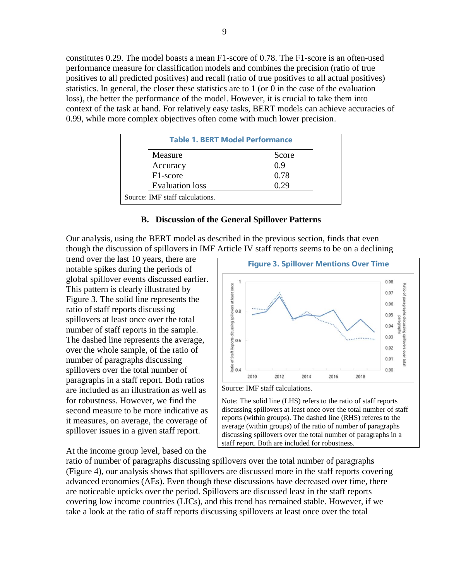constitutes 0.29. The model boasts a mean F1-score of 0.78. The F1-score is an often-used performance measure for classification models and combines the precision (ratio of true positives to all predicted positives) and recall (ratio of true positives to all actual positives) statistics. In general, the closer these statistics are to 1 (or 0 in the case of the evaluation loss), the better the performance of the model. However, it is crucial to take them into context of the task at hand. For relatively easy tasks, BERT models can achieve accuracies of 0.99, while more complex objectives often come with much lower precision.

| <b>Table 1. BERT Model Performance</b> |       |  |  |
|----------------------------------------|-------|--|--|
| Measure                                | Score |  |  |
| Accuracy                               | 0.9   |  |  |
| F <sub>1</sub> -score                  | 0.78  |  |  |
| <b>Evaluation</b> loss                 | 0.29  |  |  |
| Source: IMF staff calculations.        |       |  |  |

#### **B. Discussion of the General Spillover Patterns**

Our analysis, using the BERT model as described in the previous section, finds that even though the discussion of spillovers in IMF Article IV staff reports seems to be on a declining

trend over the last 10 years, there are notable spikes during the periods of global spillover events discussed earlier. This pattern is clearly illustrated by Figure 3. The solid line represents the ratio of staff reports discussing spillovers at least once over the total number of staff reports in the sample. The dashed line represents the average, over the whole sample, of the ratio of number of paragraphs discussing spillovers over the total number of paragraphs in a staff report. Both ratios are included as an illustration as well as for robustness. However, we find the second measure to be more indicative as it measures, on average, the coverage of spillover issues in a given staff report.

At the income group level, based on the



Note: The solid line (LHS) refers to the ratio of staff reports discussing spillovers at least once over the total number of staff reports (within groups). The dashed line (RHS) referes to the average (within groups) of the ratio of number of paragraphs discussing spillovers over the total number of paragraphs in a staff report. Both are included for robustness.

ratio of number of paragraphs discussing spillovers over the total number of paragraphs (Figure 4), our analysis shows that spillovers are discussed more in the staff reports covering advanced economies (AEs). Even though these discussions have decreased over time, there are noticeable upticks over the period. Spillovers are discussed least in the staff reports covering low income countries (LICs), and this trend has remained stable. However, if we take a look at the ratio of staff reports discussing spillovers at least once over the total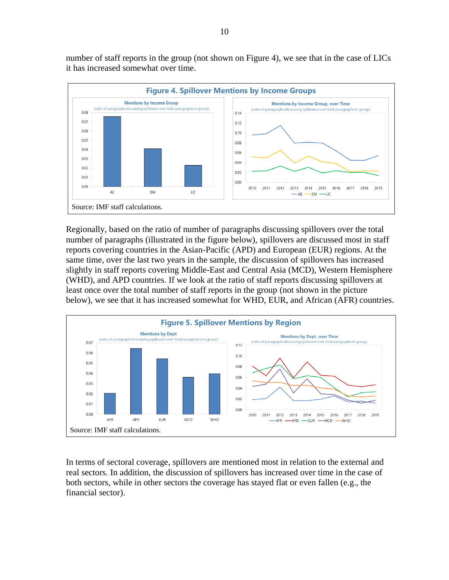number of staff reports in the group (not shown on Figure 4), we see that in the case of LICs it has increased somewhat over time.



Regionally, based on the ratio of number of paragraphs discussing spillovers over the total number of paragraphs (illustrated in the figure below), spillovers are discussed most in staff reports covering countries in the Asian-Pacific (APD) and European (EUR) regions. At the same time, over the last two years in the sample, the discussion of spillovers has increased slightly in staff reports covering Middle-East and Central Asia (MCD), Western Hemisphere (WHD), and APD countries. If we look at the ratio of staff reports discussing spillovers at least once over the total number of staff reports in the group (not shown in the picture below), we see that it has increased somewhat for WHD, EUR, and African (AFR) countries.



In terms of sectoral coverage, spillovers are mentioned most in relation to the external and real sectors. In addition, the discussion of spillovers has increased over time in the case of both sectors, while in other sectors the coverage has stayed flat or even fallen (e.g., the financial sector).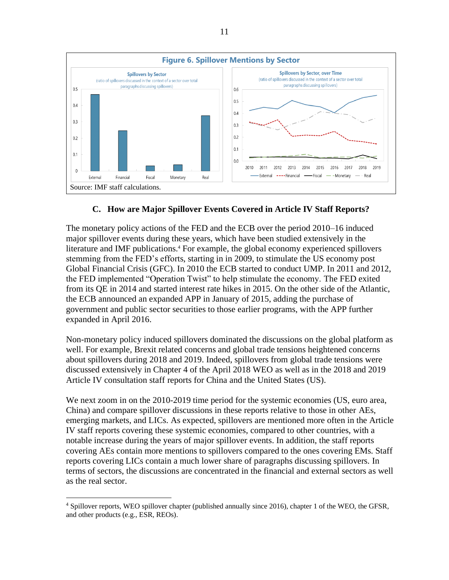

## **C. How are Major Spillover Events Covered in Article IV Staff Reports?**

The monetary policy actions of the FED and the ECB over the period 2010–16 induced major spillover events during these years, which have been studied extensively in the literature and IMF publications.<sup>4</sup> For example, the global economy experienced spillovers stemming from the FED's efforts, starting in in 2009, to stimulate the US economy post Global Financial Crisis (GFC). In 2010 the ECB started to conduct UMP. In 2011 and 2012, the FED implemented "Operation Twist" to help stimulate the economy. The FED exited from its QE in 2014 and started interest rate hikes in 2015. On the other side of the Atlantic, the ECB announced an expanded APP in January of 2015, adding the purchase of government and public sector securities to those earlier programs, with the APP further expanded in April 2016.

Non-monetary policy induced spillovers dominated the discussions on the global platform as well. For example, Brexit related concerns and global trade tensions heightened concerns about spillovers during 2018 and 2019. Indeed, spillovers from global trade tensions were discussed extensively in Chapter 4 of the April 2018 WEO as well as in the 2018 and 2019 Article IV consultation staff reports for China and the United States (US).

We next zoom in on the 2010-2019 time period for the systemic economies (US, euro area, China) and compare spillover discussions in these reports relative to those in other AEs, emerging markets, and LICs. As expected, spillovers are mentioned more often in the Article IV staff reports covering these systemic economies, compared to other countries, with a notable increase during the years of major spillover events. In addition, the staff reports covering AEs contain more mentions to spillovers compared to the ones covering EMs. Staff reports covering LICs contain a much lower share of paragraphs discussing spillovers. In terms of sectors, the discussions are concentrated in the financial and external sectors as well as the real sector.

<sup>&</sup>lt;sup>4</sup> Spillover reports, WEO spillover chapter (published annually since 2016), chapter 1 of the WEO, the GFSR, and other products (e.g., ESR, REOs).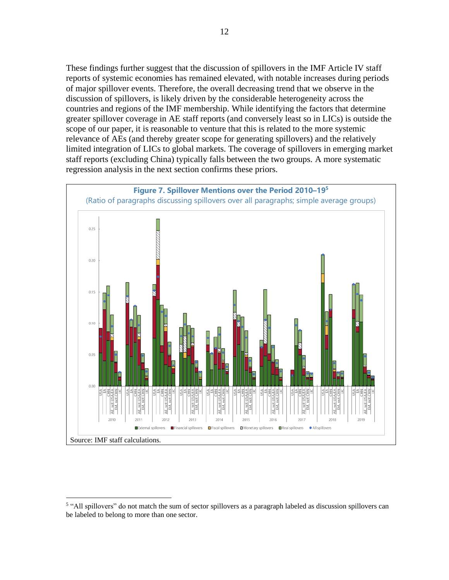These findings further suggest that the discussion of spillovers in the IMF Article IV staff reports of systemic economies has remained elevated, with notable increases during periods of major spillover events. Therefore, the overall decreasing trend that we observe in the discussion of spillovers, is likely driven by the considerable heterogeneity across the countries and regions of the IMF membership. While identifying the factors that determine greater spillover coverage in AE staff reports (and conversely least so in LICs) is outside the scope of our paper, it is reasonable to venture that this is related to the more systemic relevance of AEs (and thereby greater scope for generating spillovers) and the relatively limited integration of LICs to global markets. The coverage of spillovers in emerging market staff reports (excluding China) typically falls between the two groups. A more systematic regression analysis in the next section confirms these priors.



<sup>&</sup>lt;sup>5</sup> "All spillovers" do not match the sum of sector spillovers as a paragraph labeled as discussion spillovers can be labeled to belong to more than one sector.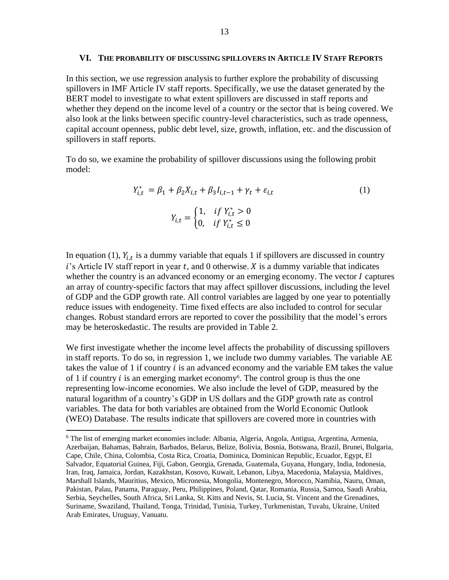#### **VI. THE PROBABILITY OF DISCUSSING SPILLOVERS IN ARTICLE IV STAFF REPORTS**

In this section, we usе regression analysis to further explore the probability of discussing spillovers in IMF Article IV staff reports. Specifically, we use the dataset generated by the BERT model to investigate to what extent spillovers are discussed in staff reports and whether they depend on the income level of a country or the sector that is being covered. We also look at the links between specific country-level characteristics, such as trade openness, capital account openness, public debt level, size, growth, inflation, etc. and the discussion of spillovers in staff reports.

To do so, we examine the probability of spillover discussions using the following probit model:

$$
Y_{i,t}^* = \beta_1 + \beta_2 X_{i,t} + \beta_3 I_{i,t-1} + \gamma_t + \varepsilon_{i,t}
$$
  
\n
$$
Y_{i,t} = \begin{cases} 1, & \text{if } Y_{i,t}^* > 0 \\ 0, & \text{if } Y_{i,t}^* \le 0 \end{cases}
$$
 (1)

In equation (1),  $Y_{i,t}$  is a dummy variable that equals 1 if spillovers are discussed in country  $i$ 's Article IV staff report in year t, and 0 otherwise.  $X$  is a dummy variable that indicates whether the country is an advanced economy or an emerging economy. The vector  $I$  captures an array of country-specific factors that may affect spillover discussions, including the level of GDP and the GDP growth rate. All control variables are lagged by one year to potentially reduce issues with endogeneity. Time fixed effects are also included to control for secular changes. Robust standard errors are reported to cover the possibility that the model's errors may be heteroskedastic. The results are provided in Table 2.

We first investigate whether the income level affects the probability of discussing spillovers in staff reports. To do so, in regression 1, we include two dummy variables. The variable AE takes the value of 1 if country  $i$  is an advanced economy and the variable EM takes the value of 1 if country  $i$  is an emerging market economy<sup>6</sup>. The control group is thus the one representing low-income economies. We also include the level of GDP, measured by the natural logarithm of a country's GDP in US dollars and the GDP growth rate as control variables. The data for both variables are obtained from the World Economic Outlook (WEO) Database. The results indicate that spillovers are covered more in countries with

<sup>6</sup> The list of emerging market economies include: Albania, Algeria, Angola, Antigua, Argentina, Armenia, Azerbaijan, Bahamas, Bahrain, Barbados, Belarus, Belize, Bolivia, Bosnia, Botswana, Brazil, Brunei, Bulgaria, Cape, Chile, China, Colombia, Costa Rica, Croatia, Dominica, Dominican Republic, Ecuador, Egypt, El Salvador, Equatorial Guinea, Fiji, Gabon, Georgia, Grenada, Guatemala, Guyana, Hungary, India, Indonesia, Iran, Iraq, Jamaica, Jordan, Kazakhstan, Kosovo, Kuwait, Lebanon, Libya, Macedonia, Malaysia, Maldives, Marshall Islands, Mauritius, Mexico, Micronesia, Mongolia, Montenegro, Morocco, Namibia, Nauru, Oman, Pakistan, Palau, Panama, Paraguay, Peru, Philippines, Poland, Qatar, Romania, Russia, Samoa, Saudi Arabia, Serbia, Seychelles, South Africa, Sri Lanka, St. Kitts and Nevis, St. Lucia, St. Vincent and the Grenadines, Suriname, Swaziland, Thailand, Tonga, Trinidad, Tunisia, Turkey, Turkmenistan, Tuvalu, Ukraine, United Arab Emirates, Uruguay, Vanuatu.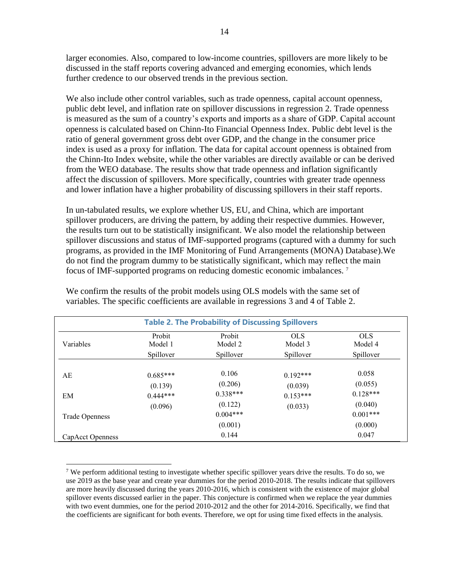larger economies. Also, compared to low-income countries, spillovers are more likely to be discussed in the staff reports covering advanced and emerging economies, which lends further credence to our observed trends in the previous section.

We also include other control variables, such as trade openness, capital account openness, public debt level, and inflation rate on spillover discussions in regression 2. Trade openness is measured as the sum of a country's exports and imports as a share of GDP. Capital account openness is calculated based on Chinn-Ito Financial Openness Index. Public debt level is the ratio of general government gross debt over GDP, and the change in the consumer price index is used as a proxy for inflation. The data for capital account openness is obtained from the Chinn-Ito Index website, while the other variables are directly available or can be derived from the WEO database. The results show that trade openness and inflation significantly affect the discussion of spillovers. More specifically, countries with greater trade openness and lower inflation have a higher probability of discussing spillovers in their staff reports.

In un-tabulated results, we explore whether US, EU, and China, which are important spillover producers, are driving the pattern, by adding their respective dummies. However, the results turn out to be statistically insignificant. We also model the relationship between spillover discussions and status of IMF-supported programs (captured with a dummy for such programs, as provided in the IMF Monitoring of Fund Arrangements (MONA) Database).We do not find the program dummy to be statistically significant, which may reflect the main focus of IMF-supported programs on reducing domestic economic imbalances. <sup>7</sup>

| <b>Table 2. The Probability of Discussing Spillovers</b> |            |                       |            |                        |
|----------------------------------------------------------|------------|-----------------------|------------|------------------------|
| Variables                                                | Probit     | Probit                | <b>OLS</b> | <b>OLS</b>             |
|                                                          | Model 1    | Model 2               | Model 3    | Model 4                |
|                                                          | Spillover  | Spillover             | Spillover  | Spillover              |
| AE                                                       | $0.685***$ | 0.106                 | $0.192***$ | 0.058                  |
|                                                          | (0.139)    | (0.206)               | (0.039)    | (0.055)                |
| EM                                                       | $0.444***$ | $0.338***$            | $0.153***$ | $0.128***$             |
|                                                          | (0.096)    | (0.122)               | (0.033)    | (0.040)                |
| <b>Trade Openness</b>                                    |            | $0.004***$<br>(0.001) |            | $0.001$ ***<br>(0.000) |
| CapAcct Openness                                         |            | 0.144                 |            | 0.047                  |

We confirm the results of the probit models using OLS models with the same set of variables. The specific coefficients are available in regressions 3 and 4 of Table 2.

<sup>&</sup>lt;sup>7</sup> We perform additional testing to investigate whether specific spillover years drive the results. To do so, we use 2019 as the base year and create year dummies for the period 2010-2018. The results indicate that spillovers are more heavily discussed during the years 2010-2016, which is consistent with the existence of major global spillover events discussed earlier in the paper. This conjecture is confirmed when we replace the year dummies with two event dummies, one for the period 2010-2012 and the other for 2014-2016. Specifically, we find that the coefficients are significant for both events. Therefore, we opt for using time fixed effects in the analysis.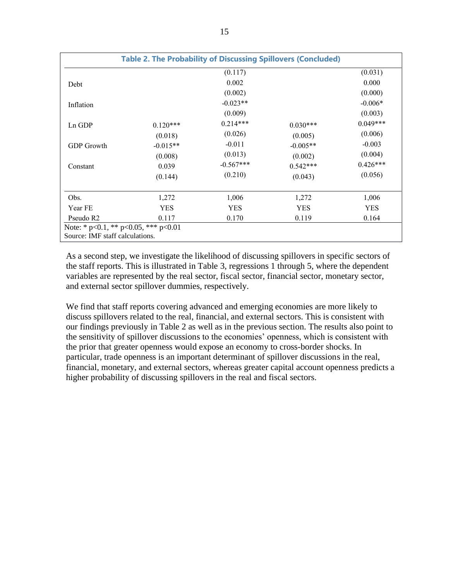|                                                                                 | <b>Table 2. The Probability of Discussing Spillovers (Concluded)</b> |             |            |            |
|---------------------------------------------------------------------------------|----------------------------------------------------------------------|-------------|------------|------------|
|                                                                                 |                                                                      | (0.117)     |            | (0.031)    |
| Debt                                                                            |                                                                      | 0.002       |            | 0.000      |
|                                                                                 |                                                                      | (0.002)     |            | (0.000)    |
| Inflation                                                                       |                                                                      | $-0.023**$  |            | $-0.006*$  |
|                                                                                 |                                                                      | (0.009)     |            | (0.003)    |
| Ln GDP                                                                          | $0.120***$                                                           | $0.214***$  | $0.030***$ | $0.049***$ |
|                                                                                 | (0.018)                                                              | (0.026)     | (0.005)    | (0.006)    |
| <b>GDP</b> Growth                                                               | $-0.015**$                                                           | $-0.011$    | $-0.005**$ | $-0.003$   |
|                                                                                 | (0.008)                                                              | (0.013)     | (0.002)    | (0.004)    |
| Constant                                                                        | 0.039                                                                | $-0.567***$ | $0.542***$ | $0.426***$ |
|                                                                                 | (0.144)                                                              | (0.210)     | (0.043)    | (0.056)    |
| Obs.                                                                            | 1,272                                                                | 1,006       | 1,272      | 1,006      |
| Year FE                                                                         | <b>YES</b>                                                           | <b>YES</b>  | <b>YES</b> | <b>YES</b> |
| Pseudo R2                                                                       | 0.117                                                                | 0.170       | 0.119      | 0.164      |
| Note: * $p<0.1$ , ** $p<0.05$ , *** $p<0.01$<br>Source: IMF staff calculations. |                                                                      |             |            |            |

As a second step, we investigate the likelihood of discussing spillovers in specific sectors of the staff reports. This is illustrated in Table 3, regressions 1 through 5, where the dependent variables are represented by the real sector, fiscal sector, financial sector, monetary sector, and external sector spillover dummies, respectively.

We find that staff reports covering advanced and emerging economies are more likely to discuss spillovers related to the real, financial, and external sectors. This is consistent with our findings previously in Table 2 as well as in the previous section. The results also point to the sensitivity of spillover discussions to the economies' openness, which is consistent with the prior that greater openness would expose an economy to cross-border shocks. In particular, trade openness is an important determinant of spillover discussions in the real, financial, monetary, and external sectors, whereas greater capital account openness predicts a higher probability of discussing spillovers in the real and fiscal sectors.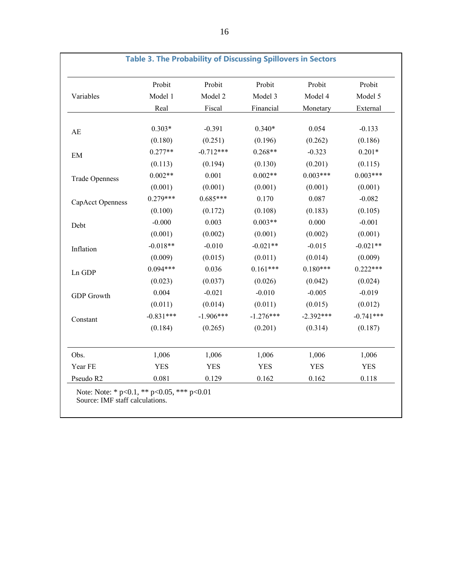|                        | Probit      | Probit      | Probit      | Probit      | Probit      |
|------------------------|-------------|-------------|-------------|-------------|-------------|
| Variables              | Model 1     | Model 2     | Model 3     | Model 4     | Model 5     |
|                        | Real        | Fiscal      | Financial   | Monetary    | External    |
|                        | $0.303*$    | $-0.391$    | $0.340*$    | 0.054       | $-0.133$    |
| $\mathbf{A}\mathbf{E}$ |             |             |             |             |             |
|                        | (0.180)     | (0.251)     | (0.196)     | (0.262)     | (0.186)     |
| EM                     | $0.277**$   | $-0.712***$ | $0.268**$   | $-0.323$    | $0.201*$    |
|                        | (0.113)     | (0.194)     | (0.130)     | (0.201)     | (0.115)     |
| <b>Trade Openness</b>  | $0.002**$   | 0.001       | $0.002**$   | $0.003***$  | $0.003***$  |
|                        | (0.001)     | (0.001)     | (0.001)     | (0.001)     | (0.001)     |
| CapAcct Openness       | $0.279***$  | $0.685***$  | 0.170       | 0.087       | $-0.082$    |
|                        | (0.100)     | (0.172)     | (0.108)     | (0.183)     | (0.105)     |
| Debt                   | $-0.000$    | 0.003       | $0.003**$   | 0.000       | $-0.001$    |
|                        | (0.001)     | (0.002)     | (0.001)     | (0.002)     | (0.001)     |
| Inflation              | $-0.018**$  | $-0.010$    | $-0.021**$  | $-0.015$    | $-0.021**$  |
|                        | (0.009)     | (0.015)     | (0.011)     | (0.014)     | (0.009)     |
| Ln GDP                 | $0.094***$  | 0.036       | $0.161***$  | $0.180***$  | $0.222***$  |
|                        | (0.023)     | (0.037)     | (0.026)     | (0.042)     | (0.024)     |
| GDP Growth             | 0.004       | $-0.021$    | $-0.010$    | $-0.005$    | $-0.019$    |
|                        | (0.011)     | (0.014)     | (0.011)     | (0.015)     | (0.012)     |
| Constant               | $-0.831***$ | $-1.906***$ | $-1.276***$ | $-2.392***$ | $-0.741***$ |
|                        | (0.184)     | (0.265)     | (0.201)     | (0.314)     | (0.187)     |
| Obs.                   | 1,006       | 1,006       | 1,006       | 1,006       | 1,006       |
| Year FE                | <b>YES</b>  | <b>YES</b>  | <b>YES</b>  | <b>YES</b>  | <b>YES</b>  |
| Pseudo R2              | 0.081       | 0.129       | 0.162       | 0.162       | 0.118       |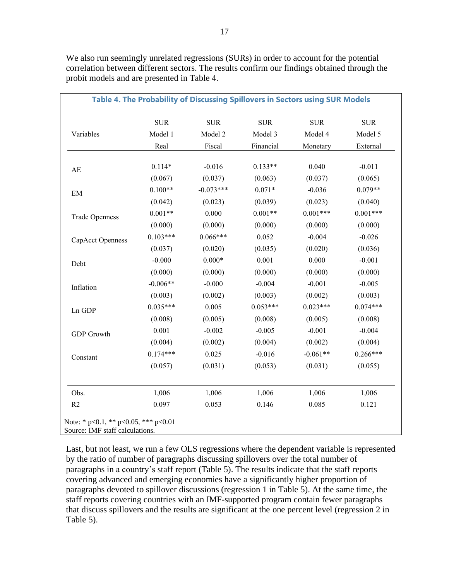|                       | <b>SUR</b> | <b>SUR</b>  | <b>SUR</b> | <b>SUR</b> | <b>SUR</b> |
|-----------------------|------------|-------------|------------|------------|------------|
| Variables             | Model 1    | Model 2     | Model 3    | Model 4    | Model 5    |
|                       | Real       | Fiscal      | Financial  | Monetary   | External   |
|                       | $0.114*$   | $-0.016$    | $0.133**$  | 0.040      | $-0.011$   |
| AE                    | (0.067)    | (0.037)     | (0.063)    | (0.037)    | (0.065)    |
| EM                    | $0.100**$  | $-0.073***$ | $0.071*$   | $-0.036$   | $0.079**$  |
|                       | (0.042)    | (0.023)     | (0.039)    | (0.023)    | (0.040)    |
| <b>Trade Openness</b> | $0.001**$  | 0.000       | $0.001**$  | $0.001***$ | $0.001***$ |
|                       | (0.000)    | (0.000)     | (0.000)    | (0.000)    | (0.000)    |
| CapAcct Openness      | $0.103***$ | $0.066***$  | 0.052      | $-0.004$   | $-0.026$   |
|                       | (0.037)    | (0.020)     | (0.035)    | (0.020)    | (0.036)    |
| Debt                  | $-0.000$   | $0.000*$    | 0.001      | 0.000      | $-0.001$   |
|                       | (0.000)    | (0.000)     | (0.000)    | (0.000)    | (0.000)    |
| Inflation             | $-0.006**$ | $-0.000$    | $-0.004$   | $-0.001$   | $-0.005$   |
|                       | (0.003)    | (0.002)     | (0.003)    | (0.002)    | (0.003)    |
| Ln GDP                | $0.035***$ | 0.005       | $0.053***$ | $0.023***$ | $0.074***$ |
|                       | (0.008)    | (0.005)     | (0.008)    | (0.005)    | (0.008)    |
| <b>GDP</b> Growth     | 0.001      | $-0.002$    | $-0.005$   | $-0.001$   | $-0.004$   |
|                       | (0.004)    | (0.002)     | (0.004)    | (0.002)    | (0.004)    |
| Constant              | $0.174***$ | 0.025       | $-0.016$   | $-0.061**$ | $0.266***$ |
|                       | (0.057)    | (0.031)     | (0.053)    | (0.031)    | (0.055)    |
| Obs.                  | 1,006      | 1,006       | 1,006      | 1,006      | 1,006      |
| R <sub>2</sub>        | 0.097      | 0.053       | 0.146      | 0.085      | 0.121      |

We also run seemingly unrelated regressions (SURs) in order to account for the potential correlation between different sectors. The results confirm our findings obtained through the probit models and are presented in Table 4.

Note:  $\degree$  p<0.1,  $\degree$   $\degree$  p<0.05,  $\degree$   $\degree$  p<0.01 Source: IMF staff calculations.

Last, but not least, we run a few OLS regressions where the dependent variable is represented by the ratio of number of paragraphs discussing spillovers over the total number of paragraphs in a country's staff report (Table 5). The results indicate that the staff reports covering advanced and emerging economies have a significantly higher proportion of paragraphs devoted to spillover discussions (regression 1 in Table 5). At the same time, the staff reports covering countries with an IMF-supported program contain fewer paragraphs that discuss spillovers and the results are significant at the one percent level (regression 2 in Table 5).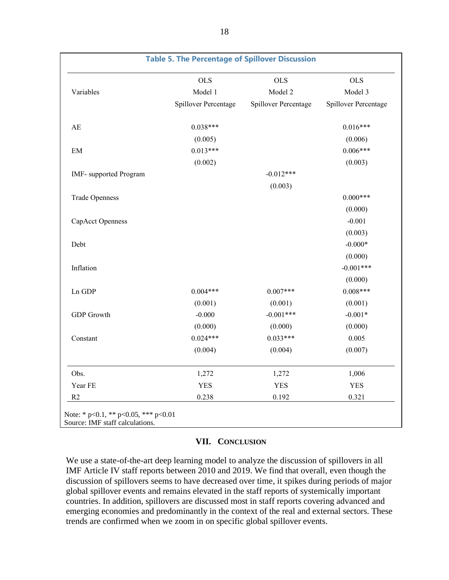|                        | <b>OLS</b>           | <b>OLS</b>           | <b>OLS</b>           |
|------------------------|----------------------|----------------------|----------------------|
| Variables              | Model 1              | Model 2              | Model 3              |
|                        | Spillover Percentage | Spillover Percentage | Spillover Percentage |
| $\mathbf{A}\mathbf{E}$ | $0.038***$           |                      | $0.016***$           |
|                        | (0.005)              |                      | (0.006)              |
| $\rm{EM}$              | $0.013***$           |                      | $0.006***$           |
|                        | (0.002)              |                      | (0.003)              |
| IMF- supported Program |                      | $-0.012***$          |                      |
|                        |                      | (0.003)              |                      |
| <b>Trade Openness</b>  |                      |                      | $0.000***$           |
|                        |                      |                      | (0.000)              |
| CapAcct Openness       |                      |                      | $-0.001$             |
|                        |                      |                      | (0.003)              |
| Debt                   |                      |                      | $-0.000*$            |
|                        |                      |                      | (0.000)              |
| Inflation              |                      |                      | $-0.001***$          |
|                        |                      |                      | (0.000)              |
| Ln GDP                 | $0.004***$           | $0.007***$           | $0.008***$           |
|                        | (0.001)              | (0.001)              | (0.001)              |
| <b>GDP</b> Growth      | $-0.000$             | $-0.001***$          | $-0.001*$            |
|                        | (0.000)              | (0.000)              | (0.000)              |
| Constant               | $0.024***$           | $0.033***$           | 0.005                |
|                        | (0.004)              | (0.004)              | (0.007)              |
| Obs.                   | 1,272                | 1,272                | 1,006                |
| Year FE                | <b>YES</b>           | <b>YES</b>           | <b>YES</b>           |
| R2                     | 0.238                | 0.192                | 0.321                |

## **VII. CONCLUSION**

We use a state-of-the-art deep learning model to analyze the discussion of spillovers in all IMF Article IV staff reports between 2010 and 2019. We find that overall, even though the discussion of spillovers seems to have decreased over time, it spikes during periods of major global spillover events and remains elevated in the staff reports of systemically important countries. In addition, spillovers are discussed most in staff reports covering advanced and emerging economies and predominantly in the context of the real and external sectors. These trends are confirmed when we zoom in on specific global spillover events.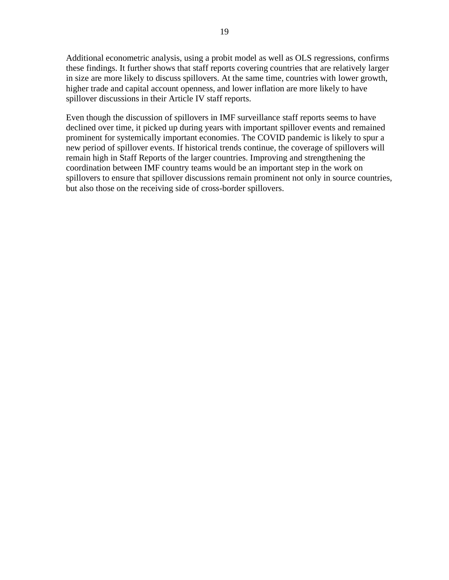Additional econometric analysis, using a probit model as well as OLS regressions, confirms these findings. It further shows that staff reports covering countries that are relatively larger in size are more likely to discuss spillovers. At the same time, countries with lower growth, higher trade and capital account openness, and lower inflation are more likely to have spillover discussions in their Article IV staff reports.

Even though the discussion of spillovers in IMF surveillance staff reports seems to have declined over time, it picked up during years with important spillover events and remained prominent for systemically important economies. The COVID pandemic is likely to spur a new period of spillover events. If historical trends continue, the coverage of spillovers will remain high in Staff Reports of the larger countries. Improving and strengthening the coordination between IMF country teams would be an important step in the work on spillovers to ensure that spillover discussions remain prominent not only in source countries, but also those on the receiving side of cross-border spillovers.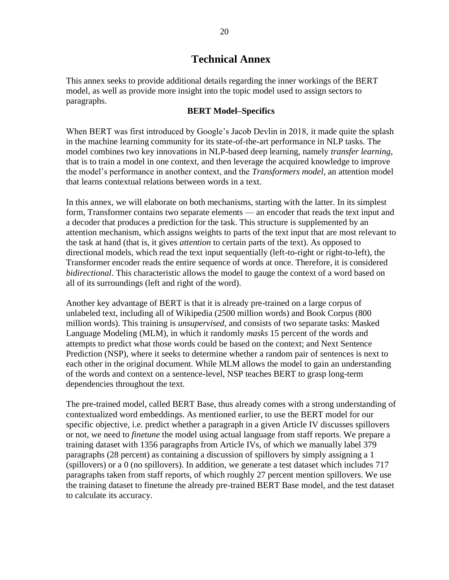## **Technical Annex**

This annex seeks to provide additional details regarding the inner workings of the BERT model, as well as provide more insight into the topic model used to assign sectors to paragraphs.

## **BERT Model–Specifics**

When BERT was first introduced by Google's Jacob Devlin in 2018, it made quite the splash in the machine learning community for its state-of-the-art performance in NLP tasks. The model combines two key innovations in NLP-based deep learning, namely *transfer learning*, that is to train a model in one context, and then leverage the acquired knowledge to improve the model's performance in another context, and the *Transformers model*, an attention model that learns contextual relations between words in a text.

In this annex, we will elaborate on both mechanisms, starting with the latter. In its simplest form, Transformer contains two separate elements — an encoder that reads the text input and a decoder that produces a prediction for the task. This structure is supplemented by an attention mechanism, which assigns weights to parts of the text input that are most relevant to the task at hand (that is, it gives *attention* to certain parts of the text). As opposed to directional models, which read the text input sequentially (left-to-right or right-to-left), the Transformer encoder reads the entire sequence of words at once. Therefore, it is considered *bidirectional*. This characteristic allows the model to gauge the context of a word based on all of its surroundings (left and right of the word).

Another key advantage of BERT is that it is already pre-trained on a large corpus of unlabeled text, including all of Wikipedia (2500 million words) and Book Corpus (800 million words). This training is *unsupervised*, and consists of two separate tasks: Masked Language Modeling (MLM), in which it randomly *masks* 15 percent of the words and attempts to predict what those words could be based on the context; and Next Sentence Prediction (NSP), where it seeks to determine whether a random pair of sentences is next to each other in the original document. While MLM allows the model to gain an understanding of the words and context on a sentence-level, NSP teaches BERT to grasp long-term dependencies throughout the text.

The pre-trained model, called BERT Base, thus already comes with a strong understanding of contextualized word embeddings. As mentioned earlier, to use the BERT model for our specific objective, i.e. predict whether a paragraph in a given Article IV discusses spillovers or not, we need to *finetune* the model using actual language from staff reports. We prepare a training dataset with 1356 paragraphs from Article IVs, of which we manually label 379 paragraphs (28 percent) as containing a discussion of spillovers by simply assigning a 1 (spillovers) or a 0 (no spillovers). In addition, we generate a test dataset which includes 717 paragraphs taken from staff reports, of which roughly 27 percent mention spillovers. We use the training dataset to finetune the already pre-trained BERT Base model, and the test dataset to calculate its accuracy.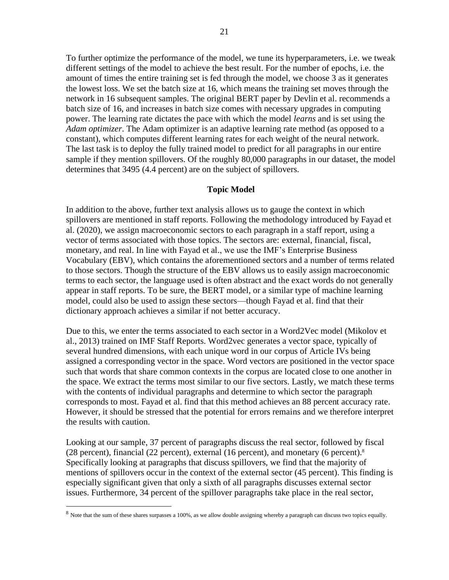To further optimize the performance of the model, we tune its hyperparameters, i.e. we tweak different settings of the model to achieve the best result. For the number of epochs, i.e. the amount of times the entire training set is fed through the model, we choose 3 as it generates the lowest loss. We set the batch size at 16, which means the training set moves through the network in 16 subsequent samples. The original BERT paper by Devlin et al. recommends a batch size of 16, and increases in batch size comes with necessary upgrades in computing power. The learning rate dictates the pace with which the model *learns* and is set using the *Adam optimizer*. The Adam optimizer is an adaptive learning rate method (as opposed to a constant), which computes different learning rates for each weight of the neural network. The last task is to deploy the fully trained model to predict for all paragraphs in our entire sample if they mention spillovers. Of the roughly 80,000 paragraphs in our dataset, the model determines that 3495 (4.4 percent) are on the subject of spillovers.

## **Topic Model**

In addition to the above, further text analysis allows us to gauge the context in which spillovers are mentioned in staff reports. Following the methodology introduced by Fayad et al. (2020), we assign macroeconomic sectors to each paragraph in a staff report, using a vector of terms associated with those topics. The sectors are: external, financial, fiscal, monetary, and real. In line with Fayad et al., we use the IMF's Enterprise Business Vocabulary (EBV), which contains the aforementioned sectors and a number of terms related to those sectors. Though the structure of the EBV allows us to easily assign macroeconomic terms to each sector, the language used is often abstract and the exact words do not generally appear in staff reports. To be sure, the BERT model, or a similar type of machine learning model, could also be used to assign these sectors—though Fayad et al. find that their dictionary approach achieves a similar if not better accuracy.

Due to this, we enter the terms associated to each sector in a Word2Vec model (Mikolov et al., 2013) trained on IMF Staff Reports. Word2vec generates a vector space, typically of several hundred dimensions, with each unique word in our corpus of Article IVs being assigned a corresponding vector in the space. Word vectors are positioned in the vector space such that words that share common contexts in the corpus are located close to one another in the space. We extract the terms most similar to our five sectors. Lastly, we match these terms with the contents of individual paragraphs and determine to which sector the paragraph corresponds to most. Fayad et al. find that this method achieves an 88 percent accuracy rate. However, it should be stressed that the potential for errors remains and we therefore interpret the results with caution.

Looking at our sample, 37 percent of paragraphs discuss the real sector, followed by fiscal (28 percent), financial (22 percent), external (16 percent), and monetary (6 percent). $8$ Specifically looking at paragraphs that discuss spillovers, we find that the majority of mentions of spillovers occur in the context of the external sector (45 percent). This finding is especially significant given that only a sixth of all paragraphs discusses external sector issues. Furthermore, 34 percent of the spillover paragraphs take place in the real sector,

<sup>&</sup>lt;sup>8</sup> Note that the sum of these shares surpasses a 100%, as we allow double assigning whereby a paragraph can discuss two topics equally.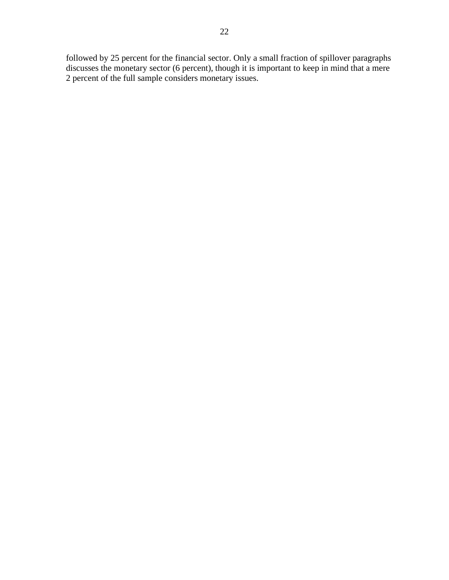followed by 25 percent for the financial sector. Only a small fraction of spillover paragraphs discusses the monetary sector (6 percent), though it is important to keep in mind that a mere 2 percent of the full sample considers monetary issues.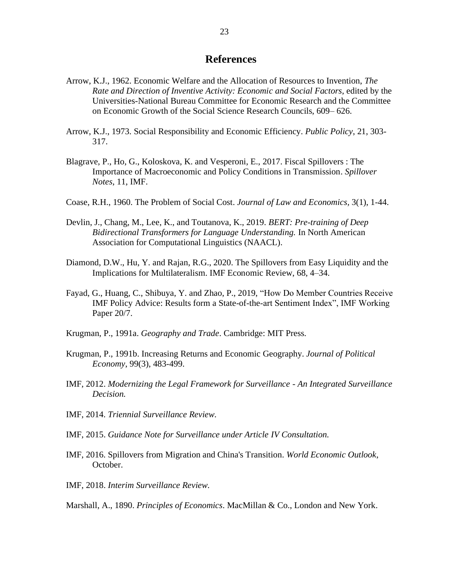## **References**

- Arrow, K.J., 1962. Economic Welfare and the Allocation of Resources to Invention, *The Rate and Direction of Inventive Activity: Economic and Social Factors*, edited by the Universities-National Bureau Committee for Economic Research and the Committee on Economic Growth of the Social Science Research Councils, 609– 626.
- Arrow, K.J., 1973. Social Responsibility and Economic Efficiency. *Public Policy*, 21, 303- 317.
- Blagrave, P., Ho, G., Koloskova, K. and Vesperoni, E., 2017. Fiscal Spillovers : The Importance of Macroeconomic and Policy Conditions in Transmission. *Spillover Notes*, 11, IMF.
- Coase, R.H., 1960. The Problem of Social Cost. *Journal of Law and Economics,* 3(1), 1-44.
- Devlin, J., Chang, M., Lee, K., and Toutanova, K., 2019. *BERT: Pre-training of Deep Bidirectional Transformers for Language Understanding.* In North American Association for Computational Linguistics (NAACL).
- Diamond, D.W., Hu, Y. and Rajan, R.G., 2020. The Spillovers from Easy Liquidity and the Implications for Multilateralism. IMF Economic Review, 68, 4–34.
- Fayad, G., Huang, C., Shibuya, Y. and Zhao, P., 2019, "How Do Member Countries Receive IMF Policy Advice: Results form a State-of-the-art Sentiment Index", IMF Working Paper 20/7.
- Krugman, P., 1991a. *Geography and Trade*. Cambridge: MIT Press.
- Krugman, P., 1991b. Increasing Returns and Economic Geography. *Journal of Political Economy*, 99(3), 483-499.
- IMF, 2012. *Modernizing the Legal Framework for Surveillance - An Integrated Surveillance Decision.*
- IMF, 2014. *Triennial Surveillance Review.*
- IMF, 2015. *Guidance Note for Surveillance under Article IV Consultation.*
- IMF, 2016. Spillovers from Migration and China's Transition. *World Economic Outlook*, October.
- IMF, 2018. *Interim Surveillance Review.*
- Marshall, A., 1890. *Principles of Economics*. MacMillan & Co., London and New York.